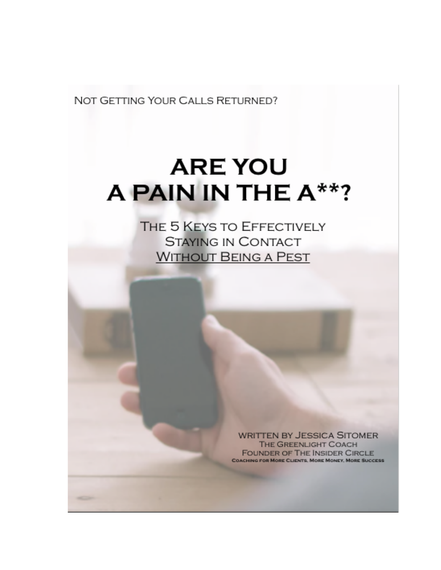NOT GETTING YOUR CALLS RETURNED?

# **ARE YOU** A PAIN IN THE A\*\*?

THE 5 KEYS TO EFFECTIVELY **STAYING IN CONTACT WITHOUT BEING A PEST** 

> **WRITTEN BY JESSICA SITOMER THE GREENLIGHT COACH FOUNDER OF THE INSIDER CIRCLE COACHING FOR MORE CLIENTS, MORE MONEY, MORE SUCCESS**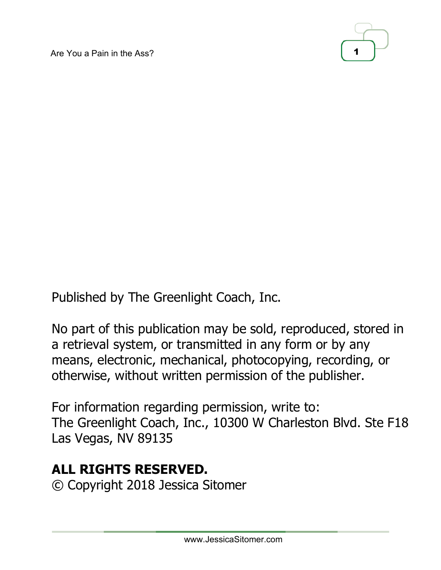Are You a Pain in the Ass? 1



Published by The Greenlight Coach, Inc.

No part of this publication may be sold, reproduced, stored in a retrieval system, or transmitted in any form or by any means, electronic, mechanical, photocopying, recording, or otherwise, without written permission of the publisher.

For information regarding permission, write to: The Greenlight Coach, Inc., 10300 W Charleston Blvd. Ste F18 Las Vegas, NV 89135

# **ALL RIGHTS RESERVED.**

© Copyright 2018 Jessica Sitomer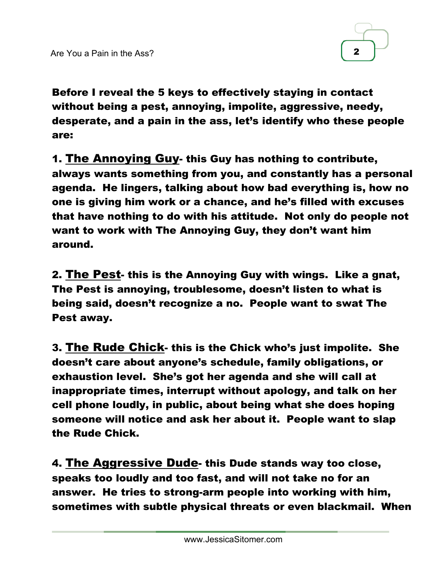

Before I reveal the 5 keys to effectively staying in contact without being a pest, annoying, impolite, aggressive, needy, desperate, and a pain in the ass, let's identify who these people are:

1. The Annoying Guy- this Guy has nothing to contribute, always wants something from you, and constantly has a personal agenda. He lingers, talking about how bad everything is, how no one is giving him work or a chance, and he's filled with excuses that have nothing to do with his attitude. Not only do people not want to work with The Annoying Guy, they don't want him around.

2. The Pest- this is the Annoying Guy with wings. Like a gnat, The Pest is annoying, troublesome, doesn't listen to what is being said, doesn't recognize a no. People want to swat The Pest away.

3. The Rude Chick- this is the Chick who's just impolite. She doesn't care about anyone's schedule, family obligations, or exhaustion level. She's got her agenda and she will call at inappropriate times, interrupt without apology, and talk on her cell phone loudly, in public, about being what she does hoping someone will notice and ask her about it. People want to slap the Rude Chick.

4. The Aggressive Dude- this Dude stands way too close, speaks too loudly and too fast, and will not take no for an answer. He tries to strong-arm people into working with him, sometimes with subtle physical threats or even blackmail. When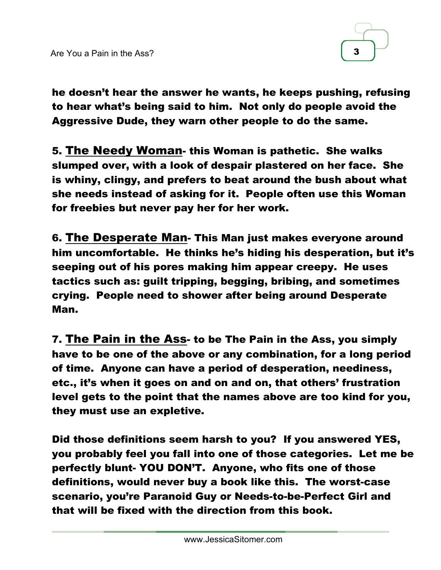

he doesn't hear the answer he wants, he keeps pushing, refusing to hear what's being said to him. Not only do people avoid the Aggressive Dude, they warn other people to do the same.

5. The Needy Woman- this Woman is pathetic. She walks slumped over, with a look of despair plastered on her face. She is whiny, clingy, and prefers to beat around the bush about what she needs instead of asking for it. People often use this Woman for freebies but never pay her for her work.

6. The Desperate Man- This Man just makes everyone around him uncomfortable. He thinks he's hiding his desperation, but it's seeping out of his pores making him appear creepy. He uses tactics such as: guilt tripping, begging, bribing, and sometimes crying. People need to shower after being around Desperate Man.

7. The Pain in the Ass- to be The Pain in the Ass, you simply have to be one of the above or any combination, for a long period of time. Anyone can have a period of desperation, neediness, etc., it's when it goes on and on and on, that others' frustration level gets to the point that the names above are too kind for you, they must use an expletive.

Did those definitions seem harsh to you? If you answered YES, you probably feel you fall into one of those categories. Let me be perfectly blunt- YOU DON'T. Anyone, who fits one of those definitions, would never buy a book like this. The worst-case scenario, you're Paranoid Guy or Needs-to-be-Perfect Girl and that will be fixed with the direction from this book.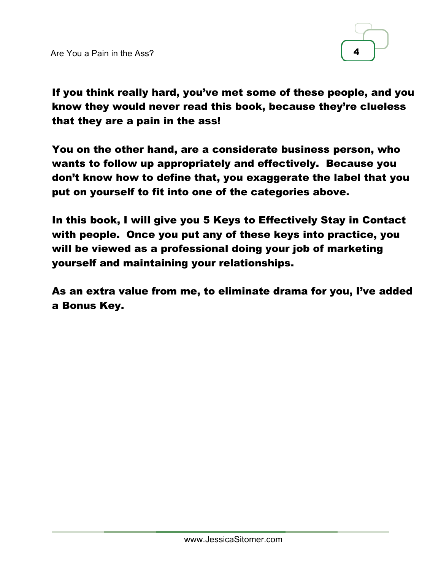

If you think really hard, you've met some of these people, and you know they would never read this book, because they're clueless that they are a pain in the ass!

You on the other hand, are a considerate business person, who wants to follow up appropriately and effectively. Because you don't know how to define that, you exaggerate the label that you put on yourself to fit into one of the categories above.

In this book, I will give you 5 Keys to Effectively Stay in Contact with people. Once you put any of these keys into practice, you will be viewed as a professional doing your job of marketing yourself and maintaining your relationships.

As an extra value from me, to eliminate drama for you, I've added a Bonus Key.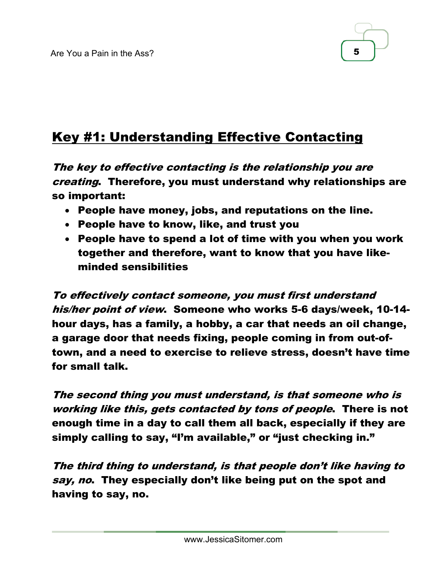

# Key #1: Understanding Effective Contacting

The key to effective contacting is the relationship you are creating. Therefore, you must understand why relationships are so important:

- People have money, jobs, and reputations on the line.
- People have to know, like, and trust you
- People have to spend a lot of time with you when you work together and therefore, want to know that you have likeminded sensibilities

To effectively contact someone, you must first understand his/her point of view. Someone who works 5-6 days/week, 10-14 hour days, has a family, a hobby, a car that needs an oil change, a garage door that needs fixing, people coming in from out-oftown, and a need to exercise to relieve stress, doesn't have time for small talk.

The second thing you must understand, is that someone who is working like this, gets contacted by tons of people. There is not enough time in a day to call them all back, especially if they are simply calling to say, "I'm available," or "just checking in."

The third thing to understand, is that people don't like having to say, no. They especially don't like being put on the spot and having to say, no.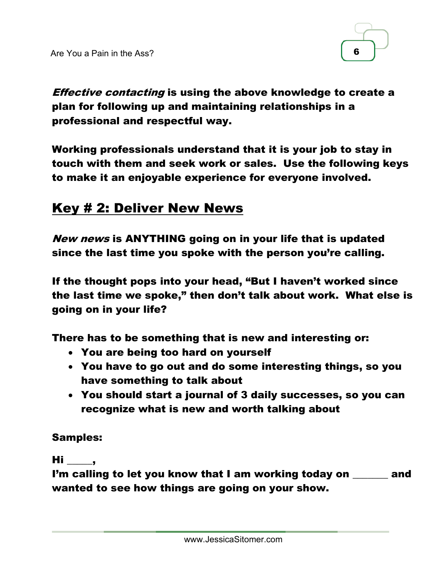

**Effective contacting is using the above knowledge to create a** plan for following up and maintaining relationships in a professional and respectful way.

Working professionals understand that it is your job to stay in touch with them and seek work or sales. Use the following keys to make it an enjoyable experience for everyone involved.

## Key # 2: Deliver New News

New news is ANYTHING going on in your life that is updated since the last time you spoke with the person you're calling.

If the thought pops into your head, "But I haven't worked since the last time we spoke," then don't talk about work. What else is going on in your life?

There has to be something that is new and interesting or:

- You are being too hard on yourself
- You have to go out and do some interesting things, so you have something to talk about
- You should start a journal of 3 daily successes, so you can recognize what is new and worth talking about

#### Samples:

#### $Hi \qquad ,$

I'm calling to let you know that I am working today on \_\_\_\_\_\_\_ and wanted to see how things are going on your show.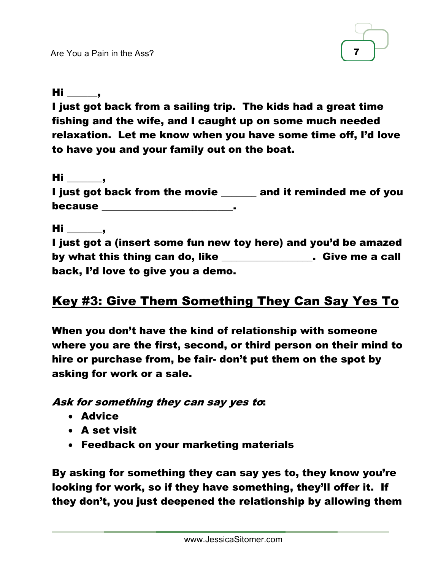

 $Hi \quad \underline{\qquad}$ ,

I just got back from a sailing trip. The kids had a great time fishing and the wife, and I caught up on some much needed relaxation. Let me know when you have some time off, I'd love to have you and your family out on the boat.

 $Hi$  , I just got back from the movie \_\_\_\_\_\_ and it reminded me of you because \_\_\_\_\_\_\_\_\_\_\_\_\_\_\_\_\_\_\_\_\_\_\_\_\_\_.

 $Hi$  ,

I just got a (insert some fun new toy here) and you'd be amazed by what this thing can do, like **the cannel of the contract of the call** back, I'd love to give you a demo.

## Key #3: Give Them Something They Can Say Yes To

When you don't have the kind of relationship with someone where you are the first, second, or third person on their mind to hire or purchase from, be fair- don't put them on the spot by asking for work or a sale.

Ask for something they can say yes to:

- Advice
- A set visit
- Feedback on your marketing materials

By asking for something they can say yes to, they know you're looking for work, so if they have something, they'll offer it. If they don't, you just deepened the relationship by allowing them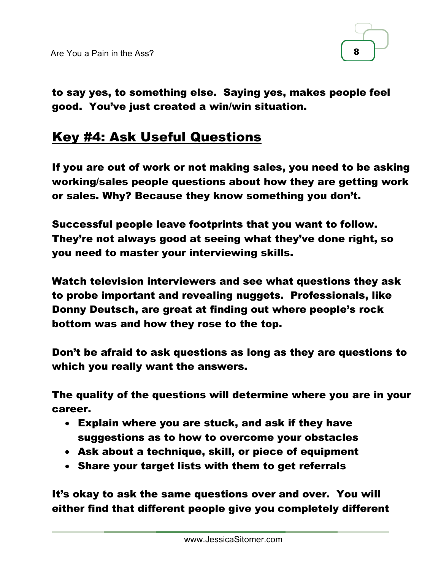

to say yes, to something else. Saying yes, makes people feel good. You've just created a win/win situation.

## Key #4: Ask Useful Questions

If you are out of work or not making sales, you need to be asking working/sales people questions about how they are getting work or sales. Why? Because they know something you don't.

Successful people leave footprints that you want to follow. They're not always good at seeing what they've done right, so you need to master your interviewing skills.

Watch television interviewers and see what questions they ask to probe important and revealing nuggets. Professionals, like Donny Deutsch, are great at finding out where people's rock bottom was and how they rose to the top.

Don't be afraid to ask questions as long as they are questions to which you really want the answers.

The quality of the questions will determine where you are in your career.

- Explain where you are stuck, and ask if they have suggestions as to how to overcome your obstacles
- Ask about a technique, skill, or piece of equipment
- Share your target lists with them to get referrals

It's okay to ask the same questions over and over. You will either find that different people give you completely different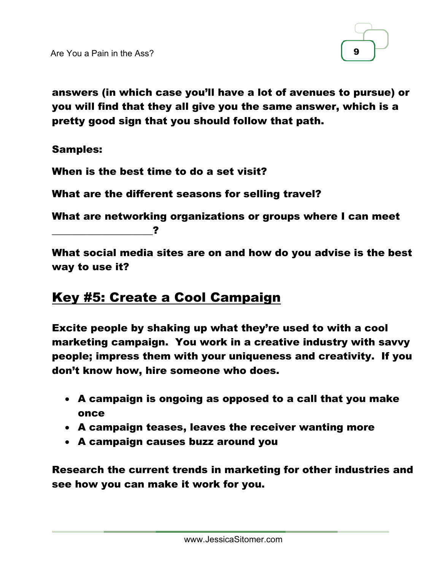

answers (in which case you'll have a lot of avenues to pursue) or you will find that they all give you the same answer, which is a pretty good sign that you should follow that path.

#### Samples:

When is the best time to do a set visit?

What are the different seasons for selling travel?

What are networking organizations or groups where I can meet \_\_\_\_\_\_\_\_\_\_\_\_\_\_\_\_\_\_\_\_?

What social media sites are on and how do you advise is the best way to use it?

#### Key #5: Create a Cool Campaign

Excite people by shaking up what they're used to with a cool marketing campaign. You work in a creative industry with savvy people; impress them with your uniqueness and creativity. If you don't know how, hire someone who does.

- A campaign is ongoing as opposed to a call that you make once
- A campaign teases, leaves the receiver wanting more
- A campaign causes buzz around you

Research the current trends in marketing for other industries and see how you can make it work for you.